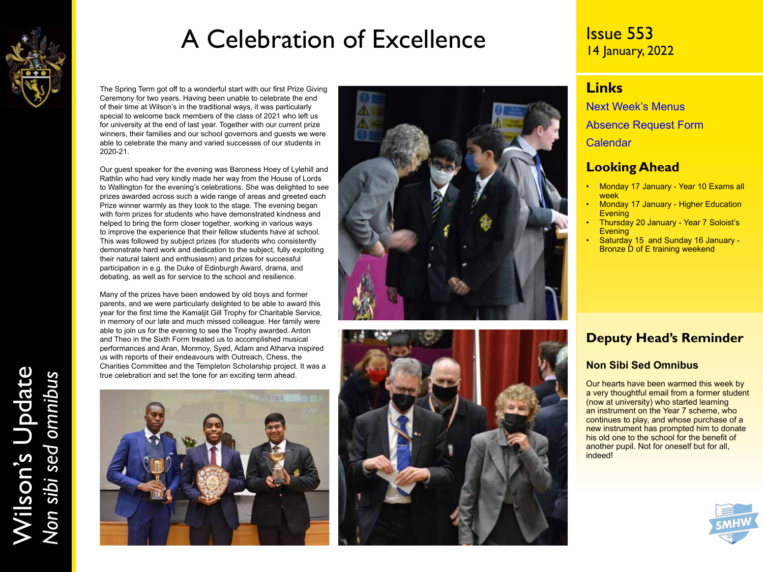

## A Celebration of Excellence

The Spring Term got off to a wonderful start with our first Prize Giving Ceremony for two years. Having been unable to celebrate the end of their time at Wilson's in the traditional ways, it was particularly special to welcome back members of the class of 2021 who left us for university at the end of last year. Together with our current prize winners, their families and our school governors and guests we were able to celebrate the many and varied successes of our students in 2020-21.

Our guest speaker for the evening was Baroness Hoey of Lylehill and Rathlin who had very kindly made her way from the House of Lords to Wallington for the evening's celebrations. She was delighted to see prizes awarded across such a wide range of areas and greeted each Prize winner warmly as they took to the stage. The evening began with form prizes for students who have demonstrated kindness and helped to bring the form closer together, working in various ways to improve the experience that their fellow students have at school. This was followed by subject prizes (for students who consistently demonstrate hard work and dedication to the subject, fully exploiting their natural talent and enthusiasm) and prizes for successful participation in e.g. the Duke of Edinburgh Award, drama, and debating, as well as for service to the school and resilience.

Many of the prizes have been endowed by old boys and former parents, and we were particularly delighted to be able to award this year for the first time the Kamaljit Gill Trophy for Charitable Service, in memory of our late and much missed colleague. Her family were able to join us for the evening to see the Trophy awarded. Anton and Theo in the Sixth Form treated us to accomplished musical performances and Aran, Monmoy, Syed, Adam and Atharva inspired us with reports of their endeavours with Outreach, Chess, the Charities Committee and the Templeton Scholarship project. It was a true celebration and set the tone for an exciting term ahead.







## Issue 553 14 January, 2022

### **Links**

[Next Week's Menus](https://www.wilsons.school/resources/Menus.pdf) [Absence Request Form](http://www.wilsons.school/resources/Leave-of-Absence-Form.pdf) **[Calendar](https://www.wilsons.school/calendar/)** 

### **Looking Ahead**

- Monday 17 January Year 10 Exams all week
- **Monday 17 January Higher Education Evening**
- Thursday 20 January Year 7 Soloist's **Evening**
- Saturday 15 and Sunday 16 January Bronze D of E training weekend

## **Deputy Head's Reminder**

### **Non Sibi Sed Omnibus**

Our hearts have been warmed this week by a very thoughtful email from a former student (now at university) who started learning an instrument on the Year 7 scheme, who continues to play, and whose purchase of a new instrument has prompted him to donate his old one to the school for the benefit of another pupil. Not for oneself but for all, indeed!

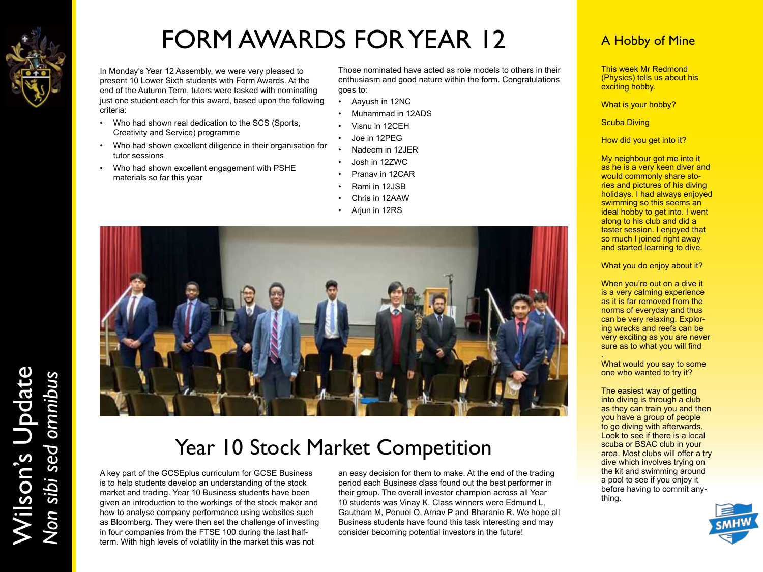

Wilson's Update

Wilson's Update<br>Non sibi sed omnibus

*Non sibi sed omnibus*

# FORM AWARDS FOR YEAR 12

In Monday's Year 12 Assembly, we were very pleased to present 10 Lower Sixth students with Form Awards. At the end of the Autumn Term, tutors were tasked with nominating just one student each for this award, based upon the following criteria:

- Who had shown real dedication to the SCS (Sports, Creativity and Service) programme
- Who had shown excellent diligence in their organisation for tutor sessions
- Who had shown excellent engagement with PSHE materials so far this year

Those nominated have acted as role models to others in their enthusiasm and good nature within the form. Congratulations goes to:

- Aayush in 12NC
- Muhammad in 12ADS
- Visnu in 12CEH
- Joe in 12PEG
- Nadeem in 12JER
- Josh in 12ZWC
- Pranav in 12CAR
- Rami in 12JSB
- Chris in 12AAW
- Arjun in 12RS



## Year 10 Stock Market Competition

A key part of the GCSEplus curriculum for GCSE Business is to help students develop an understanding of the stock market and trading. Year 10 Business students have been given an introduction to the workings of the stock maker and how to analyse company performance using websites such as Bloomberg. They were then set the challenge of investing in four companies from the FTSE 100 during the last halfterm. With high levels of volatility in the market this was not

an easy decision for them to make. At the end of the trading period each Business class found out the best performer in their group. The overall investor champion across all Year 10 students was Vinay K. Class winners were Edmund L, Gautham M, Penuel O, Arnav P and Bharanie R. We hope all Business students have found this task interesting and may consider becoming potential investors in the future!

## A Hobby of Mine

This week Mr Redmond (Physics) tells us about his exciting hobby.

What is your hobby?

**Scuba Diving** 

How did you get into it?

My neighbour got me into it as he is a very keen diver and would commonly share stories and pictures of his diving holidays. I had always enjoyed swimming so this seems an ideal hobby to get into. I went along to his club and did a taster session. I enjoyed that so much I joined right away and started learning to dive.

What you do enjoy about it?

When you're out on a dive it is a very calming experience as it is far removed from the norms of everyday and thus can be very relaxing. Exploring wrecks and reefs can be very exciting as you are never sure as to what you will find

. What would you say to some one who wanted to try it?

The easiest way of getting into diving is through a club as they can train you and then you have a group of people to go diving with afterwards. Look to see if there is a local scuba or BSAC club in your area. Most clubs will offer a try dive which involves trying on the kit and swimming around a pool to see if you enjoy it before having to commit anything.

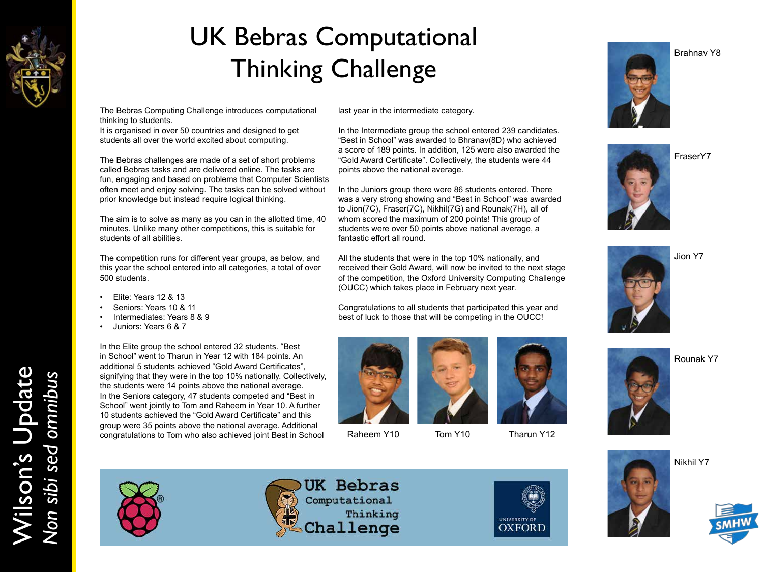

# UK Bebras Computational Thinking Challenge

The Bebras Computing Challenge introduces computational thinking to students.

It is organised in over 50 countries and designed to get students all over the world excited about computing.

The Bebras challenges are made of a set of short problems called Bebras tasks and are delivered online. The tasks are fun, engaging and based on problems that Computer Scientists often meet and enjoy solving. The tasks can be solved without prior knowledge but instead require logical thinking.

The aim is to solve as many as you can in the allotted time, 40 minutes. Unlike many other competitions, this is suitable for students of all abilities.

The competition runs for different year groups, as below, and this year the school entered into all categories, a total of over 500 students.

- Elite: Years 12 & 13
- Seniors: Years 10 & 11
- Intermediates: Years 8 & 9
- Juniors: Years 6 & 7

In the Elite group the school entered 32 students. "Best in School" went to Tharun in Year 12 with 184 points. An additional 5 students achieved "Gold Award Certificates", signifying that they were in the top 10% nationally. Collectively, the students were 14 points above the national average. In the Seniors category, 47 students competed and "Best in School" went jointly to Tom and Raheem in Year 10. A further 10 students achieved the "Gold Award Certificate" and this group were 35 points above the national average. Additional congratulations to Tom who also achieved joint Best in School Raheem Y10 Tom Y10 Tharun Y12

last year in the intermediate category.

In the Intermediate group the school entered 239 candidates. "Best in School" was awarded to Bhranav(8D) who achieved a score of 189 points. In addition, 125 were also awarded the "Gold Award Certificate". Collectively, the students were 44 points above the national average.

In the Juniors group there were 86 students entered. There was a very strong showing and "Best in School" was awarded to Jion(7C), Fraser(7C), Nikhil(7G) and Rounak(7H), all of whom scored the maximum of 200 points! This group of students were over 50 points above national average, a fantastic effort all round.

All the students that were in the top 10% nationally, and received their Gold Award, will now be invited to the next stage of the competition, the Oxford University Computing Challenge (OUCC) which takes place in February next year.

Congratulations to all students that participated this year and best of luck to those that will be competing in the OUCC!











Jion Y7